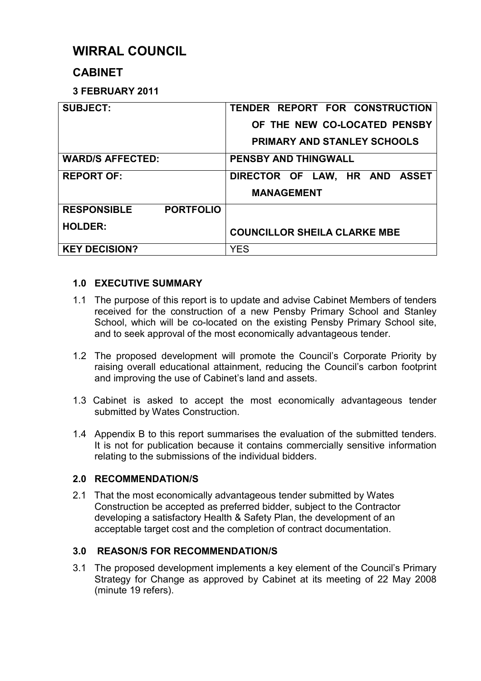# **WIRRAL COUNCIL**

# **CABINET**

# **3 FEBRUARY 2011**

| <b>SUBJECT:</b>                        | TENDER REPORT FOR CONSTRUCTION      |
|----------------------------------------|-------------------------------------|
|                                        | OF THE NEW CO-LOCATED PENSBY        |
|                                        | <b>PRIMARY AND STANLEY SCHOOLS</b>  |
| <b>WARD/S AFFECTED:</b>                | <b>PENSBY AND THINGWALL</b>         |
| <b>REPORT OF:</b>                      | DIRECTOR OF LAW, HR AND ASSET       |
|                                        | <b>MANAGEMENT</b>                   |
| <b>PORTFOLIO</b><br><b>RESPONSIBLE</b> |                                     |
| <b>HOLDER:</b>                         | <b>COUNCILLOR SHEILA CLARKE MBE</b> |
| <b>KEY DECISION?</b>                   | <b>YES</b>                          |

# **1.0 EXECUTIVE SUMMARY**

- 1.1 The purpose of this report is to update and advise Cabinet Members of tenders received for the construction of a new Pensby Primary School and Stanley School, which will be co-located on the existing Pensby Primary School site, and to seek approval of the most economically advantageous tender.
- 1.2 The proposed development will promote the Council's Corporate Priority by raising overall educational attainment, reducing the Council's carbon footprint and improving the use of Cabinet's land and assets.
- 1.3 Cabinet is asked to accept the most economically advantageous tender submitted by Wates Construction.
- 1.4 Appendix B to this report summarises the evaluation of the submitted tenders. It is not for publication because it contains commercially sensitive information relating to the submissions of the individual bidders.

# **2.0 RECOMMENDATION/S**

2.1 That the most economically advantageous tender submitted by Wates Construction be accepted as preferred bidder, subject to the Contractor developing a satisfactory Health & Safety Plan, the development of an acceptable target cost and the completion of contract documentation.

# **3.0 REASON/S FOR RECOMMENDATION/S**

3.1 The proposed development implements a key element of the Council's Primary Strategy for Change as approved by Cabinet at its meeting of 22 May 2008 (minute 19 refers).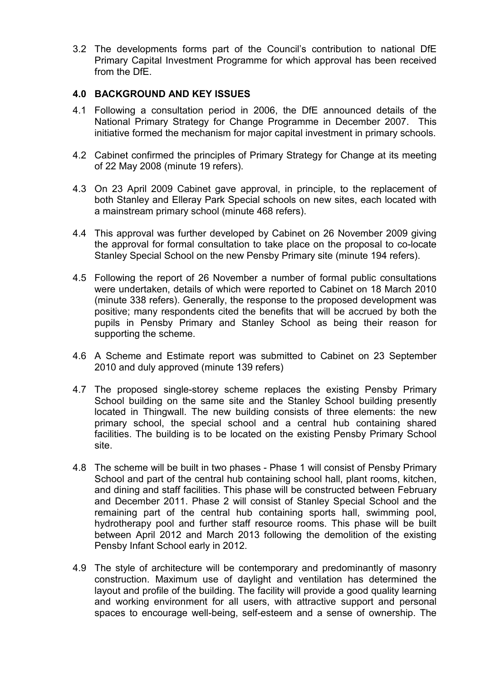3.2 The developments forms part of the Council's contribution to national DfE Primary Capital Investment Programme for which approval has been received from the DfE.

## **4.0 BACKGROUND AND KEY ISSUES**

- 4.1 Following a consultation period in 2006, the DfE announced details of the National Primary Strategy for Change Programme in December 2007. This initiative formed the mechanism for major capital investment in primary schools.
- 4.2 Cabinet confirmed the principles of Primary Strategy for Change at its meeting of 22 May 2008 (minute 19 refers).
- 4.3 On 23 April 2009 Cabinet gave approval, in principle, to the replacement of both Stanley and Elleray Park Special schools on new sites, each located with a mainstream primary school (minute 468 refers).
- 4.4 This approval was further developed by Cabinet on 26 November 2009 giving the approval for formal consultation to take place on the proposal to co-locate Stanley Special School on the new Pensby Primary site (minute 194 refers).
- 4.5 Following the report of 26 November a number of formal public consultations were undertaken, details of which were reported to Cabinet on 18 March 2010 (minute 338 refers). Generally, the response to the proposed development was positive; many respondents cited the benefits that will be accrued by both the pupils in Pensby Primary and Stanley School as being their reason for supporting the scheme.
- 4.6 A Scheme and Estimate report was submitted to Cabinet on 23 September 2010 and duly approved (minute 139 refers)
- 4.7 The proposed single-storey scheme replaces the existing Pensby Primary School building on the same site and the Stanley School building presently located in Thingwall. The new building consists of three elements: the new primary school, the special school and a central hub containing shared facilities. The building is to be located on the existing Pensby Primary School site.
- 4.8 The scheme will be built in two phases Phase 1 will consist of Pensby Primary School and part of the central hub containing school hall, plant rooms, kitchen, and dining and staff facilities. This phase will be constructed between February and December 2011. Phase 2 will consist of Stanley Special School and the remaining part of the central hub containing sports hall, swimming pool, hydrotherapy pool and further staff resource rooms. This phase will be built between April 2012 and March 2013 following the demolition of the existing Pensby Infant School early in 2012.
- 4.9 The style of architecture will be contemporary and predominantly of masonry construction. Maximum use of daylight and ventilation has determined the layout and profile of the building. The facility will provide a good quality learning and working environment for all users, with attractive support and personal spaces to encourage well-being, self-esteem and a sense of ownership. The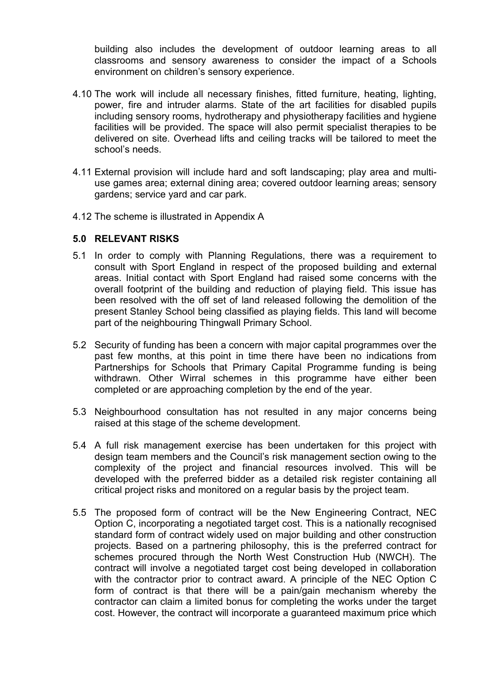building also includes the development of outdoor learning areas to all classrooms and sensory awareness to consider the impact of a Schools environment on children's sensory experience.

- 4.10 The work will include all necessary finishes, fitted furniture, heating, lighting, power, fire and intruder alarms. State of the art facilities for disabled pupils including sensory rooms, hydrotherapy and physiotherapy facilities and hygiene facilities will be provided. The space will also permit specialist therapies to be delivered on site. Overhead lifts and ceiling tracks will be tailored to meet the school's needs.
- 4.11 External provision will include hard and soft landscaping; play area and multiuse games area; external dining area; covered outdoor learning areas; sensory gardens; service yard and car park.
- 4.12 The scheme is illustrated in Appendix A

### **5.0 RELEVANT RISKS**

- 5.1 In order to comply with Planning Regulations, there was a requirement to consult with Sport England in respect of the proposed building and external areas. Initial contact with Sport England had raised some concerns with the overall footprint of the building and reduction of playing field. This issue has been resolved with the off set of land released following the demolition of the present Stanley School being classified as playing fields. This land will become part of the neighbouring Thingwall Primary School.
- 5.2 Security of funding has been a concern with major capital programmes over the past few months, at this point in time there have been no indications from Partnerships for Schools that Primary Capital Programme funding is being withdrawn. Other Wirral schemes in this programme have either been completed or are approaching completion by the end of the year.
- 5.3 Neighbourhood consultation has not resulted in any major concerns being raised at this stage of the scheme development.
- 5.4 A full risk management exercise has been undertaken for this project with design team members and the Council's risk management section owing to the complexity of the project and financial resources involved. This will be developed with the preferred bidder as a detailed risk register containing all critical project risks and monitored on a regular basis by the project team.
- 5.5 The proposed form of contract will be the New Engineering Contract, NEC Option C, incorporating a negotiated target cost. This is a nationally recognised standard form of contract widely used on major building and other construction projects. Based on a partnering philosophy, this is the preferred contract for schemes procured through the North West Construction Hub (NWCH). The contract will involve a negotiated target cost being developed in collaboration with the contractor prior to contract award. A principle of the NEC Option C form of contract is that there will be a pain/gain mechanism whereby the contractor can claim a limited bonus for completing the works under the target cost. However, the contract will incorporate a guaranteed maximum price which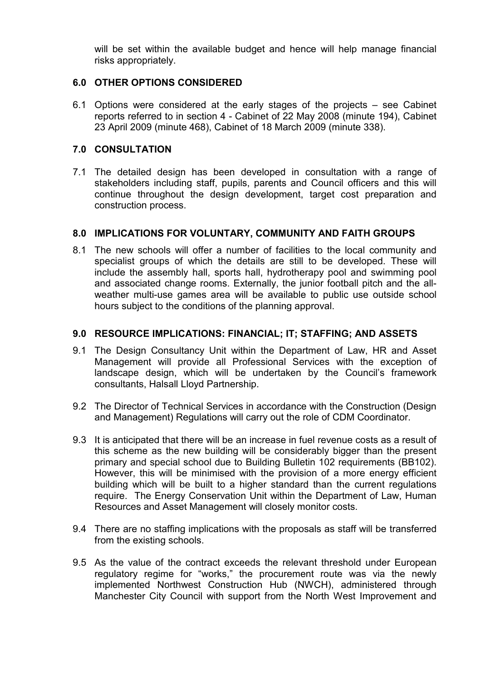will be set within the available budget and hence will help manage financial risks appropriately.

# **6.0 OTHER OPTIONS CONSIDERED**

6.1 Options were considered at the early stages of the projects – see Cabinet reports referred to in section 4 - Cabinet of 22 May 2008 (minute 194), Cabinet 23 April 2009 (minute 468), Cabinet of 18 March 2009 (minute 338).

### **7.0 CONSULTATION**

7.1 The detailed design has been developed in consultation with a range of stakeholders including staff, pupils, parents and Council officers and this will continue throughout the design development, target cost preparation and construction process.

### **8.0 IMPLICATIONS FOR VOLUNTARY, COMMUNITY AND FAITH GROUPS**

8.1 The new schools will offer a number of facilities to the local community and specialist groups of which the details are still to be developed. These will include the assembly hall, sports hall, hydrotherapy pool and swimming pool and associated change rooms. Externally, the junior football pitch and the allweather multi-use games area will be available to public use outside school hours subject to the conditions of the planning approval.

### **9.0 RESOURCE IMPLICATIONS: FINANCIAL; IT; STAFFING; AND ASSETS**

- 9.1 The Design Consultancy Unit within the Department of Law, HR and Asset Management will provide all Professional Services with the exception of landscape design, which will be undertaken by the Council's framework consultants, Halsall Lloyd Partnership.
- 9.2 The Director of Technical Services in accordance with the Construction (Design and Management) Regulations will carry out the role of CDM Coordinator.
- 9.3 It is anticipated that there will be an increase in fuel revenue costs as a result of this scheme as the new building will be considerably bigger than the present primary and special school due to Building Bulletin 102 requirements (BB102). However, this will be minimised with the provision of a more energy efficient building which will be built to a higher standard than the current regulations require. The Energy Conservation Unit within the Department of Law, Human Resources and Asset Management will closely monitor costs.
- 9.4 There are no staffing implications with the proposals as staff will be transferred from the existing schools.
- 9.5 As the value of the contract exceeds the relevant threshold under European regulatory regime for "works," the procurement route was via the newly implemented Northwest Construction Hub (NWCH), administered through Manchester City Council with support from the North West Improvement and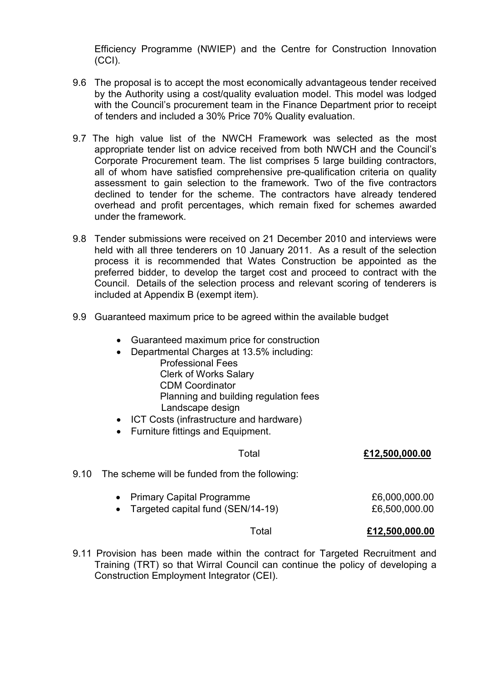Efficiency Programme (NWIEP) and the Centre for Construction Innovation (CCI).

- 9.6 The proposal is to accept the most economically advantageous tender received by the Authority using a cost/quality evaluation model. This model was lodged with the Council's procurement team in the Finance Department prior to receipt of tenders and included a 30% Price 70% Quality evaluation.
- 9.7 The high value list of the NWCH Framework was selected as the most appropriate tender list on advice received from both NWCH and the Council's Corporate Procurement team. The list comprises 5 large building contractors, all of whom have satisfied comprehensive pre-qualification criteria on quality assessment to gain selection to the framework. Two of the five contractors declined to tender for the scheme. The contractors have already tendered overhead and profit percentages, which remain fixed for schemes awarded under the framework.
- 9.8 Tender submissions were received on 21 December 2010 and interviews were held with all three tenderers on 10 January 2011. As a result of the selection process it is recommended that Wates Construction be appointed as the preferred bidder, to develop the target cost and proceed to contract with the Council. Details of the selection process and relevant scoring of tenderers is included at Appendix B (exempt item).
- 9.9 Guaranteed maximum price to be agreed within the available budget
	- Guaranteed maximum price for construction
	- Departmental Charges at 13.5% including:
		- Professional Fees Clerk of Works Salary CDM Coordinator Planning and building regulation fees
			- Landscape design
	- ICT Costs (infrastructure and hardware)
	- Furniture fittings and Equipment.

### Total **£12,500,000.00**

- 9.10 The scheme will be funded from the following:
	- Primary Capital Programme  $£6,000,000.00$ • Targeted capital fund (SEN/14-19) 66,500,000.00

### Total **£12,500,000.00**

9.11 Provision has been made within the contract for Targeted Recruitment and Training (TRT) so that Wirral Council can continue the policy of developing a Construction Employment Integrator (CEI).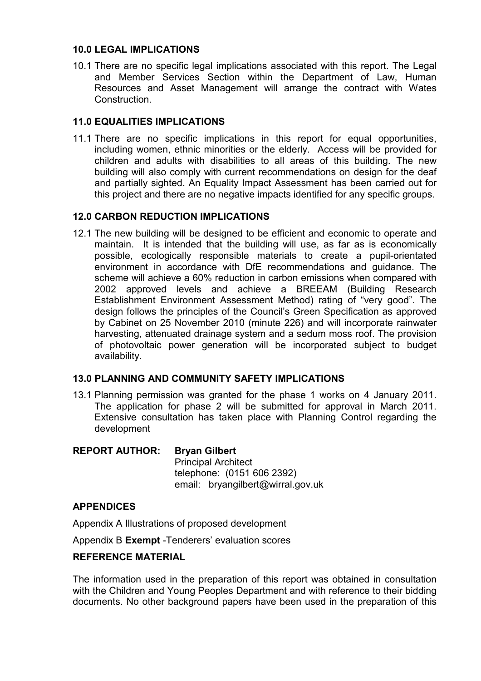# **10.0 LEGAL IMPLICATIONS**

10.1 There are no specific legal implications associated with this report. The Legal and Member Services Section within the Department of Law, Human Resources and Asset Management will arrange the contract with Wates Construction.

### **11.0 EQUALITIES IMPLICATIONS**

11.1 There are no specific implications in this report for equal opportunities, including women, ethnic minorities or the elderly. Access will be provided for children and adults with disabilities to all areas of this building. The new building will also comply with current recommendations on design for the deaf and partially sighted. An Equality Impact Assessment has been carried out for this project and there are no negative impacts identified for any specific groups.

### **12.0 CARBON REDUCTION IMPLICATIONS**

12.1 The new building will be designed to be efficient and economic to operate and maintain. It is intended that the building will use, as far as is economically possible, ecologically responsible materials to create a pupil-orientated environment in accordance with DfE recommendations and guidance. The scheme will achieve a 60% reduction in carbon emissions when compared with 2002 approved levels and achieve a BREEAM (Building Research Establishment Environment Assessment Method) rating of "very good". The design follows the principles of the Council's Green Specification as approved by Cabinet on 25 November 2010 (minute 226) and will incorporate rainwater harvesting, attenuated drainage system and a sedum moss roof. The provision of photovoltaic power generation will be incorporated subject to budget availability.

### **13.0 PLANNING AND COMMUNITY SAFETY IMPLICATIONS**

13.1 Planning permission was granted for the phase 1 works on 4 January 2011. The application for phase 2 will be submitted for approval in March 2011. Extensive consultation has taken place with Planning Control regarding the development

### **REPORT AUTHOR: Bryan Gilbert**

Principal Architect telephone: (0151 606 2392) email: bryangilbert@wirral.gov.uk

### **APPENDICES**

Appendix A Illustrations of proposed development

Appendix B **Exempt** -Tenderers' evaluation scores

### **REFERENCE MATERIAL**

The information used in the preparation of this report was obtained in consultation with the Children and Young Peoples Department and with reference to their bidding documents. No other background papers have been used in the preparation of this